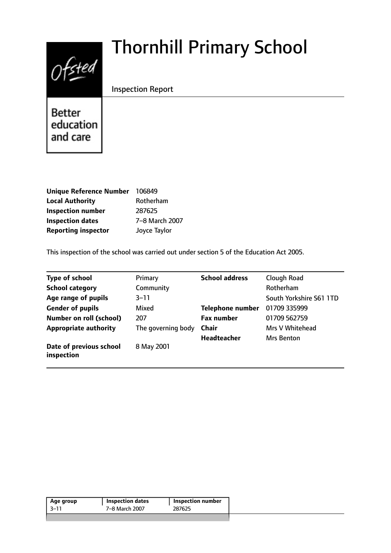# $0$ fsted

# Thornhill Primary School

Inspection Report

**Better** education and care

| <b>Unique Reference Number</b> | 106849         |
|--------------------------------|----------------|
| <b>Local Authority</b>         | Rotherham      |
| <b>Inspection number</b>       | 287625         |
| <b>Inspection dates</b>        | 7-8 March 2007 |
| <b>Reporting inspector</b>     | Joyce Taylor   |

This inspection of the school was carried out under section 5 of the Education Act 2005.

| <b>Type of school</b>                 | Primary            | <b>School address</b>   | Clough Road             |
|---------------------------------------|--------------------|-------------------------|-------------------------|
| <b>School category</b>                | Community          |                         | Rotherham               |
| Age range of pupils                   | $3 - 11$           |                         | South Yorkshire S61 1TD |
| <b>Gender of pupils</b>               | Mixed              | <b>Telephone number</b> | 01709 335999            |
| <b>Number on roll (school)</b>        | 207                | <b>Fax number</b>       | 01709 562759            |
| <b>Appropriate authority</b>          | The governing body | <b>Chair</b>            | Mrs V Whitehead         |
|                                       |                    | <b>Headteacher</b>      | <b>Mrs Benton</b>       |
| Date of previous school<br>inspection | 8 May 2001         |                         |                         |

| 7-8 March 2007<br>287625<br>-3–11 | Age group | <b>Inspection dates</b> | Inspection number |
|-----------------------------------|-----------|-------------------------|-------------------|
|                                   |           |                         |                   |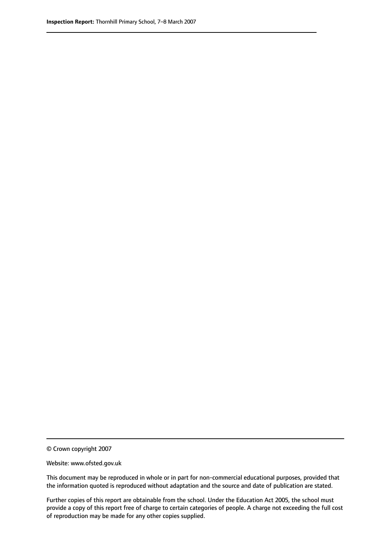© Crown copyright 2007

Website: www.ofsted.gov.uk

This document may be reproduced in whole or in part for non-commercial educational purposes, provided that the information quoted is reproduced without adaptation and the source and date of publication are stated.

Further copies of this report are obtainable from the school. Under the Education Act 2005, the school must provide a copy of this report free of charge to certain categories of people. A charge not exceeding the full cost of reproduction may be made for any other copies supplied.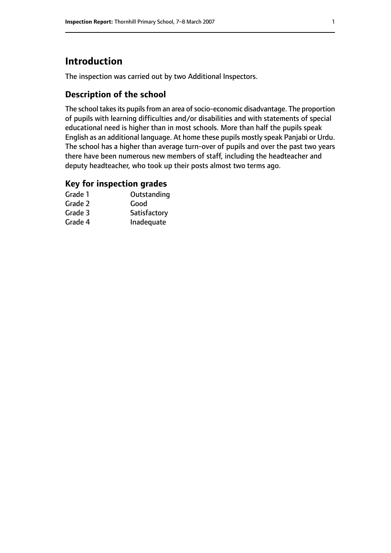# **Introduction**

The inspection was carried out by two Additional Inspectors.

# **Description of the school**

The school takes its pupils from an area of socio-economic disadvantage. The proportion of pupils with learning difficulties and/or disabilities and with statements of special educational need is higher than in most schools. More than half the pupils speak English as an additional language. At home these pupils mostly speak Panjabi or Urdu. The school has a higher than average turn-over of pupils and over the past two years there have been numerous new members of staff, including the headteacher and deputy headteacher, who took up their posts almost two terms ago.

### **Key for inspection grades**

| Grade 1 | Outstanding  |
|---------|--------------|
| Grade 2 | Good         |
| Grade 3 | Satisfactory |
| Grade 4 | Inadequate   |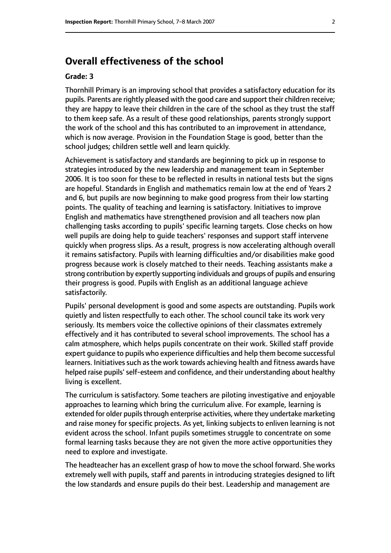# **Overall effectiveness of the school**

#### **Grade: 3**

Thornhill Primary is an improving school that provides a satisfactory education for its pupils. Parents are rightly pleased with the good care and support their children receive; they are happy to leave their children in the care of the school as they trust the staff to them keep safe. As a result of these good relationships, parents strongly support the work of the school and this has contributed to an improvement in attendance, which is now average. Provision in the Foundation Stage is good, better than the school judges; children settle well and learn quickly.

Achievement is satisfactory and standards are beginning to pick up in response to strategies introduced by the new leadership and management team in September 2006. It is too soon for these to be reflected in results in national tests but the signs are hopeful. Standards in English and mathematics remain low at the end of Years 2 and 6, but pupils are now beginning to make good progress from their low starting points. The quality of teaching and learning is satisfactory. Initiatives to improve English and mathematics have strengthened provision and all teachers now plan challenging tasks according to pupils' specific learning targets. Close checks on how well pupils are doing help to guide teachers' responses and support staff intervene quickly when progress slips. As a result, progress is now accelerating although overall it remains satisfactory. Pupils with learning difficulties and/or disabilities make good progress because work is closely matched to their needs. Teaching assistants make a strong contribution by expertly supporting individuals and groups of pupils and ensuring their progress is good. Pupils with English as an additional language achieve satisfactorily.

Pupils' personal development is good and some aspects are outstanding. Pupils work quietly and listen respectfully to each other. The school council take its work very seriously. Its members voice the collective opinions of their classmates extremely effectively and it has contributed to several school improvements. The school has a calm atmosphere, which helps pupils concentrate on their work. Skilled staff provide expert guidance to pupils who experience difficulties and help them become successful learners. Initiatives such as the work towards achieving health and fitness awards have helped raise pupils'self-esteem and confidence, and their understanding about healthy living is excellent.

The curriculum is satisfactory. Some teachers are piloting investigative and enjoyable approaches to learning which bring the curriculum alive. For example, learning is extended for older pupils through enterprise activities, where they undertake marketing and raise money for specific projects. As yet, linking subjects to enliven learning is not evident across the school. Infant pupils sometimes struggle to concentrate on some formal learning tasks because they are not given the more active opportunities they need to explore and investigate.

The headteacher has an excellent grasp of how to move the school forward. She works extremely well with pupils, staff and parents in introducing strategies designed to lift the low standards and ensure pupils do their best. Leadership and management are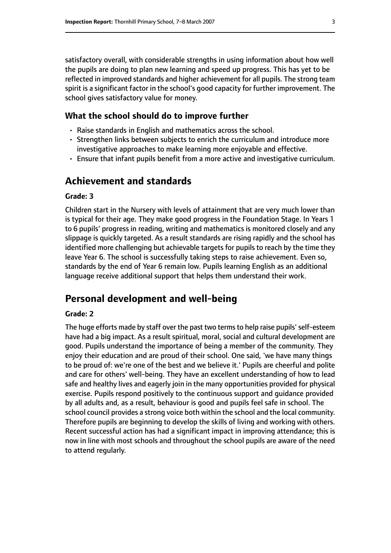satisfactory overall, with considerable strengths in using information about how well the pupils are doing to plan new learning and speed up progress. This has yet to be reflected in improved standards and higher achievement for all pupils. The strong team spirit is a significant factor in the school's good capacity for further improvement. The school gives satisfactory value for money.

#### **What the school should do to improve further**

- Raise standards in English and mathematics across the school.
- Strengthen links between subjects to enrich the curriculum and introduce more investigative approaches to make learning more enjoyable and effective.
- Ensure that infant pupils benefit from a more active and investigative curriculum.

# **Achievement and standards**

#### **Grade: 3**

Children start in the Nursery with levels of attainment that are very much lower than is typical for their age. They make good progress in the Foundation Stage. In Years 1 to 6 pupils' progress in reading, writing and mathematics is monitored closely and any slippage is quickly targeted. As a result standards are rising rapidly and the school has identified more challenging but achievable targets for pupils to reach by the time they leave Year 6. The school is successfully taking steps to raise achievement. Even so, standards by the end of Year 6 remain low. Pupils learning English as an additional language receive additional support that helps them understand their work.

# **Personal development and well-being**

#### **Grade: 2**

The huge efforts made by staff over the past two termsto help raise pupils'self-esteem have had a big impact. As a result spiritual, moral, social and cultural development are good. Pupils understand the importance of being a member of the community. They enjoy their education and are proud of their school. One said, 'we have many things to be proud of: we're one of the best and we believe it.' Pupils are cheerful and polite and care for others' well-being. They have an excellent understanding of how to lead safe and healthy lives and eagerly join in the many opportunities provided for physical exercise. Pupils respond positively to the continuous support and guidance provided by all adults and, as a result, behaviour is good and pupils feel safe in school. The school council provides a strong voice both within the school and the local community. Therefore pupils are beginning to develop the skills of living and working with others. Recent successful action has had a significant impact in improving attendance; this is now in line with most schools and throughout the school pupils are aware of the need to attend regularly.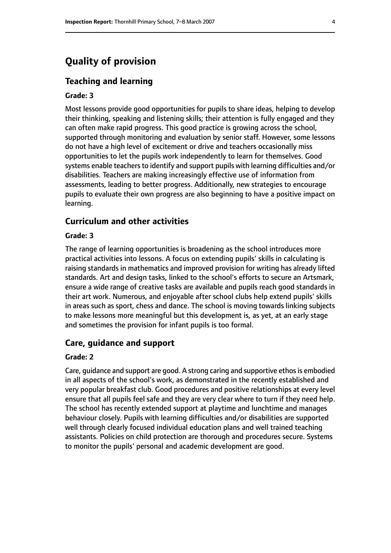# **Quality of provision**

#### **Teaching and learning**

#### **Grade: 3**

Most lessons provide good opportunities for pupils to share ideas, helping to develop their thinking, speaking and listening skills; their attention is fully engaged and they can often make rapid progress. This good practice is growing across the school, supported through monitoring and evaluation by senior staff. However, some lessons do not have a high level of excitement or drive and teachers occasionally miss opportunities to let the pupils work independently to learn for themselves. Good systems enable teachers to identify and support pupils with learning difficulties and/or disabilities. Teachers are making increasingly effective use of information from assessments, leading to better progress. Additionally, new strategies to encourage pupils to evaluate their own progress are also beginning to have a positive impact on learning.

#### **Curriculum and other activities**

#### **Grade: 3**

The range of learning opportunities is broadening as the school introduces more practical activities into lessons. A focus on extending pupils' skills in calculating is raising standards in mathematics and improved provision for writing has already lifted standards. Art and design tasks, linked to the school's efforts to secure an Artsmark, ensure a wide range of creative tasks are available and pupils reach good standards in their art work. Numerous, and enjoyable after school clubs help extend pupils' skills in areas such as sport, chess and dance. The school is moving towards linking subjects to make lessons more meaningful but this development is, as yet, at an early stage and sometimes the provision for infant pupils is too formal.

#### **Care, guidance and support**

#### **Grade: 2**

Care, quidance and support are good. A strong caring and supportive ethos is embodied in all aspects of the school's work, as demonstrated in the recently established and very popular breakfast club. Good procedures and positive relationships at every level ensure that all pupils feel safe and they are very clear where to turn if they need help. The school has recently extended support at playtime and lunchtime and manages behaviour closely. Pupils with learning difficulties and/or disabilities are supported well through clearly focused individual education plans and well trained teaching assistants. Policies on child protection are thorough and procedures secure. Systems to monitor the pupils' personal and academic development are good.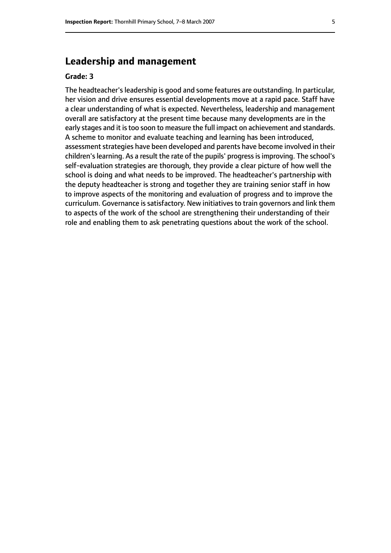# **Leadership and management**

#### **Grade: 3**

The headteacher's leadership is good and some features are outstanding. In particular, her vision and drive ensures essential developments move at a rapid pace. Staff have a clear understanding of what is expected. Nevertheless, leadership and management overall are satisfactory at the present time because many developments are in the early stages and it is too soon to measure the full impact on achievement and standards. A scheme to monitor and evaluate teaching and learning has been introduced, assessment strategies have been developed and parents have become involved in their children's learning. As a result the rate of the pupils' progress is improving. The school's self-evaluation strategies are thorough, they provide a clear picture of how well the school is doing and what needs to be improved. The headteacher's partnership with the deputy headteacher is strong and together they are training senior staff in how to improve aspects of the monitoring and evaluation of progress and to improve the curriculum. Governance is satisfactory. New initiatives to train governors and link them to aspects of the work of the school are strengthening their understanding of their role and enabling them to ask penetrating questions about the work of the school.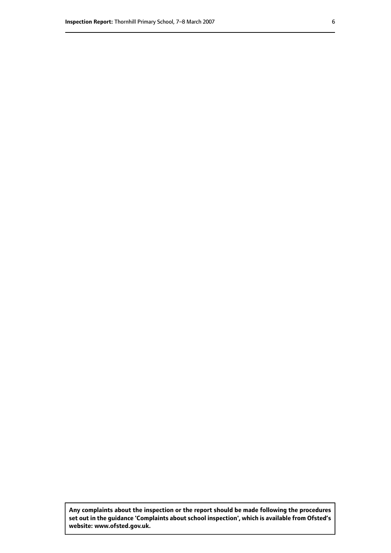**Any complaints about the inspection or the report should be made following the procedures set out inthe guidance 'Complaints about school inspection', whichis available from Ofsted's website: www.ofsted.gov.uk.**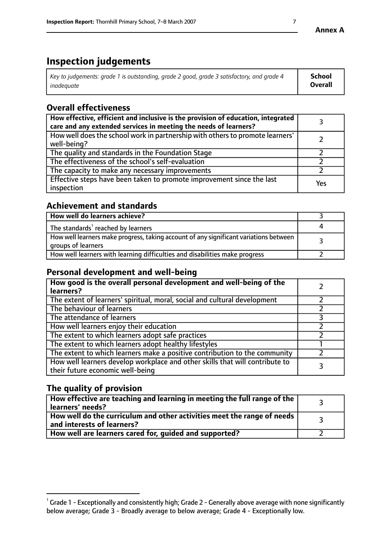# **Inspection judgements**

| $^{\circ}$ Key to judgements: grade 1 is outstanding, grade 2 good, grade 3 satisfactory, and grade 4 $^{\circ}$ | School         |
|------------------------------------------------------------------------------------------------------------------|----------------|
| inadequate                                                                                                       | <b>Overall</b> |

# **Overall effectiveness**

| How effective, efficient and inclusive is the provision of education, integrated<br>care and any extended services in meeting the needs of learners? |     |
|------------------------------------------------------------------------------------------------------------------------------------------------------|-----|
| How well does the school work in partnership with others to promote learners'<br>well-being?                                                         |     |
| The quality and standards in the Foundation Stage                                                                                                    |     |
| The effectiveness of the school's self-evaluation                                                                                                    |     |
| The capacity to make any necessary improvements                                                                                                      |     |
| Effective steps have been taken to promote improvement since the last<br>inspection                                                                  | Yes |

# **Achievement and standards**

| How well do learners achieve?                                                                               |  |
|-------------------------------------------------------------------------------------------------------------|--|
| The standards <sup>1</sup> reached by learners                                                              |  |
| How well learners make progress, taking account of any significant variations between<br>groups of learners |  |
| How well learners with learning difficulties and disabilities make progress                                 |  |

# **Personal development and well-being**

| How good is the overall personal development and well-being of the<br>learners?                                  |  |
|------------------------------------------------------------------------------------------------------------------|--|
| The extent of learners' spiritual, moral, social and cultural development                                        |  |
| The behaviour of learners                                                                                        |  |
| The attendance of learners                                                                                       |  |
| How well learners enjoy their education                                                                          |  |
| The extent to which learners adopt safe practices                                                                |  |
| The extent to which learners adopt healthy lifestyles                                                            |  |
| The extent to which learners make a positive contribution to the community                                       |  |
| How well learners develop workplace and other skills that will contribute to<br>their future economic well-being |  |

# **The quality of provision**

| How effective are teaching and learning in meeting the full range of the<br>learners' needs?          |  |
|-------------------------------------------------------------------------------------------------------|--|
| How well do the curriculum and other activities meet the range of needs<br>and interests of learners? |  |
| How well are learners cared for, guided and supported?                                                |  |

 $^1$  Grade 1 - Exceptionally and consistently high; Grade 2 - Generally above average with none significantly below average; Grade 3 - Broadly average to below average; Grade 4 - Exceptionally low.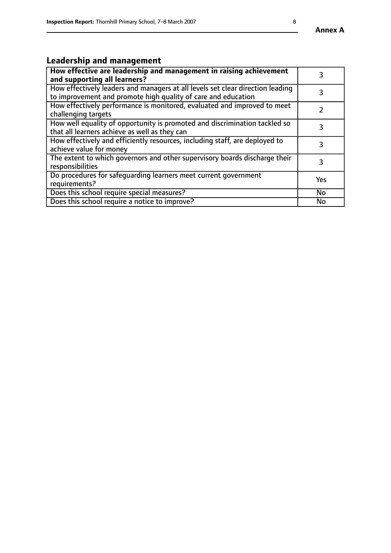#### **Annex A**

# **Leadership and management**

| How effective are leadership and management in raising achievement<br>and supporting all learners?                                              |           |
|-------------------------------------------------------------------------------------------------------------------------------------------------|-----------|
| How effectively leaders and managers at all levels set clear direction leading<br>to improvement and promote high quality of care and education |           |
| How effectively performance is monitored, evaluated and improved to meet<br>challenging targets                                                 |           |
| How well equality of opportunity is promoted and discrimination tackled so<br>that all learners achieve as well as they can                     |           |
| How effectively and efficiently resources, including staff, are deployed to<br>achieve value for money                                          | З         |
| The extent to which governors and other supervisory boards discharge their<br>responsibilities                                                  | 3         |
| Do procedures for safequarding learners meet current government<br>requirements?                                                                | Yes       |
| Does this school require special measures?                                                                                                      | No        |
| Does this school require a notice to improve?                                                                                                   | <b>No</b> |